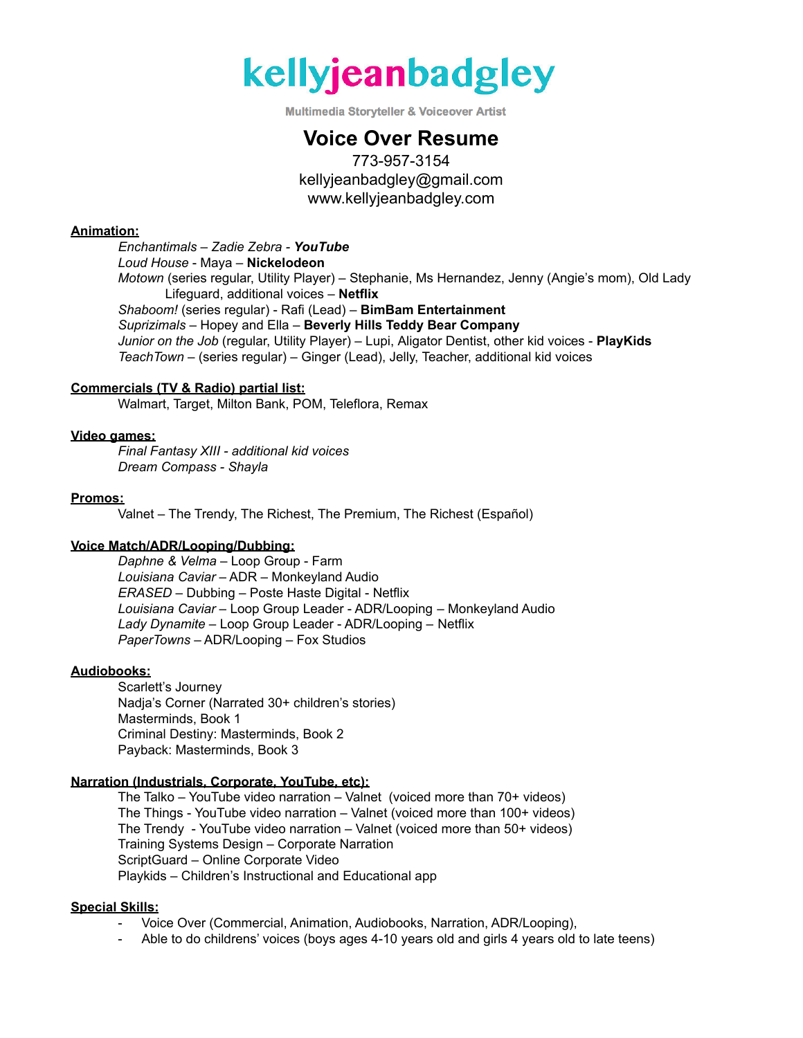

**Multimedia Storyteller & Voiceover Artist** 

# **Voice Over Resume**

773-957-3154 kellyjeanbadgley@gmail.com www.kellyjeanbadgley.com

## **Animation:**

*Enchantimals – Zadie Zebra - YouTube Loud House* - Maya – **Nickelodeon** *Motown* (series regular, Utility Player) – Stephanie, Ms Hernandez, Jenny (Angie's mom), Old Lady Lifeguard, additional voices – **Netflix** *Shaboom!* (series regular) - Rafi (Lead) – **BimBam Entertainment** *Suprizimals* – Hopey and Ella – **Beverly Hills Teddy Bear Company** *Junior on the Job* (regular, Utility Player) – Lupi, Aligator Dentist, other kid voices - **PlayKids** *TeachTown* – (series regular) – Ginger (Lead), Jelly, Teacher, additional kid voices

### **Commercials (TV & Radio) partial list:**

Walmart, Target, Milton Bank, POM, Teleflora, Remax

### **Video games:**

*Final Fantasy XIII - additional kid voices Dream Compass - Shayla*

### **Promos:**

Valnet – The Trendy, The Richest, The Premium, The Richest (Español)

#### **Voice Match/ADR/Looping/Dubbing:**

*Daphne & Velma –* Loop Group - Farm *Louisiana Caviar* – ADR – Monkeyland Audio *ERASED –* Dubbing – Poste Haste Digital - Netflix *Louisiana Caviar* – Loop Group Leader - ADR/Looping – Monkeyland Audio *Lady Dynamite* – Loop Group Leader - ADR/Looping – Netflix *PaperTowns* – ADR/Looping – Fox Studios

### **Audiobooks:**

Scarlett's Journey Nadja's Corner (Narrated 30+ children's stories) Masterminds, Book 1 Criminal Destiny: Masterminds, Book 2 Payback: Masterminds, Book 3

## **Narration (Industrials, Corporate, YouTube, etc):**

The Talko – YouTube video narration – Valnet (voiced more than 70+ videos) The Things - YouTube video narration – Valnet (voiced more than 100+ videos) The Trendy - YouTube video narration – Valnet (voiced more than 50+ videos) Training Systems Design – Corporate Narration ScriptGuard – Online Corporate Video Playkids – Children's Instructional and Educational app

## **Special Skills:**

- Voice Over (Commercial, Animation, Audiobooks, Narration, ADR/Looping),
- Able to do childrens' voices (boys ages 4-10 years old and girls 4 years old to late teens)